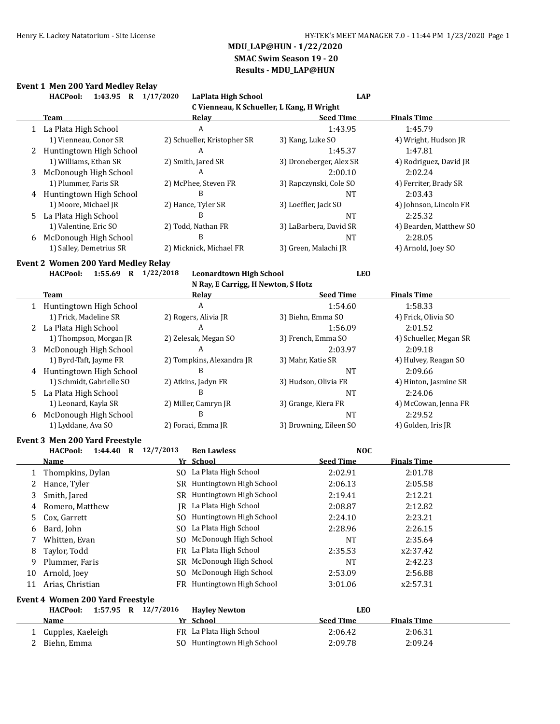## **Event 1 Men 200 Yard Medley Relay**

|    | 1:43.95 R 1/17/2020<br><b>HACPool:</b>     | <b>LaPlata High School</b>                | <b>LAP</b>              |                        |
|----|--------------------------------------------|-------------------------------------------|-------------------------|------------------------|
|    |                                            | C Vienneau, K Schueller, L Kang, H Wright |                         |                        |
|    | Team                                       | <u>Relay</u>                              | <b>Seed Time</b>        | <b>Finals Time</b>     |
|    | 1 La Plata High School                     | A                                         | 1:43.95                 | 1:45.79                |
|    | 1) Vienneau, Conor SR                      | 2) Schueller, Kristopher SR               | 3) Kang, Luke SO        | 4) Wright, Hudson JR   |
|    | 2 Huntingtown High School                  | A                                         | 1:45.37                 | 1:47.81                |
|    | 1) Williams, Ethan SR                      | 2) Smith, Jared SR                        | 3) Droneberger, Alex SR | 4) Rodriguez, David JR |
| 3  | McDonough High School                      | A                                         | 2:00.10                 | 2:02.24                |
|    | 1) Plummer, Faris SR                       | 2) McPhee, Steven FR                      | 3) Rapczynski, Cole SO  | 4) Ferriter, Brady SR  |
|    | 4 Huntingtown High School                  | B                                         | <b>NT</b>               | 2:03.43                |
|    | 1) Moore, Michael JR                       | 2) Hance, Tyler SR                        | 3) Loeffler, Jack SO    | 4) Johnson, Lincoln FR |
| 5  | La Plata High School                       | B                                         | <b>NT</b>               | 2:25.32                |
|    | 1) Valentine, Eric SO                      | 2) Todd, Nathan FR                        | 3) LaBarbera, David SR  | 4) Bearden, Matthew SO |
| 6  | McDonough High School                      | B                                         | <b>NT</b>               | 2:28.05                |
|    | 1) Salley, Demetrius SR                    | 2) Micknick, Michael FR                   | 3) Green, Malachi JR    | 4) Arnold, Joey SO     |
|    | <b>Event 2 Women 200 Yard Medley Relay</b> |                                           |                         |                        |
|    | 1:55.69 R 1/22/2018<br><b>HACPool:</b>     | <b>Leonardtown High School</b>            | <b>LEO</b>              |                        |
|    |                                            | N Ray, E Carrigg, H Newton, S Hotz        |                         |                        |
|    | <b>Team</b>                                | Relay                                     | <b>Seed Time</b>        | <b>Finals Time</b>     |
|    | 1 Huntingtown High School                  | $\boldsymbol{A}$                          | 1:54.60                 | 1:58.33                |
|    | 1) Frick, Madeline SR                      | 2) Rogers, Alivia JR                      | 3) Biehn, Emma SO       | 4) Frick, Olivia SO    |
| 2  | La Plata High School                       | A                                         | 1:56.09                 | 2:01.52                |
|    | 1) Thompson, Morgan JR                     | 2) Zelesak, Megan SO                      | 3) French, Emma SO      | 4) Schueller, Megan SR |
| 3  | McDonough High School                      | A                                         | 2:03.97                 | 2:09.18                |
|    | 1) Byrd-Taft, Jayme FR                     | 2) Tompkins, Alexandra JR                 | 3) Mahr, Katie SR       | 4) Hulvey, Reagan SO   |
|    | 4 Huntingtown High School                  | B                                         | <b>NT</b>               | 2:09.66                |
|    | 1) Schmidt, Gabrielle SO                   | 2) Atkins, Jadyn FR                       | 3) Hudson, Olivia FR    | 4) Hinton, Jasmine SR  |
| 5  | La Plata High School                       | B                                         | <b>NT</b>               | 2:24.06                |
|    | 1) Leonard, Kayla SR                       | 2) Miller, Camryn JR                      | 3) Grange, Kiera FR     | 4) McCowan, Jenna FR   |
| 6  | McDonough High School                      | B                                         | <b>NT</b>               | 2:29.52                |
|    | 1) Lyddane, Ava SO                         | 2) Foraci, Emma JR                        | 3) Browning, Eileen SO  | 4) Golden, Iris JR     |
|    | <b>Event 3 Men 200 Yard Freestyle</b>      |                                           |                         |                        |
|    | 1:44.40 R 12/7/2013<br><b>HACPool:</b>     | <b>Ben Lawless</b>                        | <b>NOC</b>              |                        |
|    | Name                                       | Yr School                                 | <b>Seed Time</b>        | <b>Finals Time</b>     |
| 1  | Thompkins, Dylan                           | SO La Plata High School                   | 2:02.91                 | 2:01.78                |
| 2  | Hance, Tyler                               | SR Huntingtown High School                | 2:06.13                 | 2:05.58                |
| 3  | Smith, Jared                               | SR Huntingtown High School                | 2:19.41                 | 2:12.21                |
| 4  | Romero, Matthew                            | JR La Plata High School                   | 2:08.87                 | 2:12.82                |
| 5  | Cox, Garrett                               | SO Huntingtown High School                | 2:24.10                 | 2:23.21                |
| 6  | Bard, John                                 | La Plata High School<br>SO.               | 2:28.96                 | 2:26.15                |
| 7  | Whitten, Evan                              | McDonough High School<br>SO.              | NT                      | 2:35.64                |
| 8  | Taylor, Todd                               | La Plata High School<br><b>FR</b>         | 2:35.53                 | x2:37.42               |
| 9  | Plummer, Faris                             | McDonough High School<br>SR               | NT                      | 2:42.23                |
| 10 | Arnold, Joey                               | McDonough High School<br>SO.              | 2:53.09                 | 2:56.88                |
| 11 | Arias, Christian                           | FR Huntingtown High School                | 3:01.06                 | x2:57.31               |
|    |                                            |                                           |                         |                        |
|    | <b>Event 4 Women 200 Yard Freestyle</b>    |                                           |                         |                        |
|    | <b>HACPool:</b><br>1:57.95 R 12/7/2016     | <b>Hayley Newton</b>                      | <b>LEO</b>              |                        |
|    | <u>Name</u>                                | Yr School                                 | <b>Seed Time</b>        | <b>Finals Time</b>     |
| 1  | Cupples, Kaeleigh                          | FR La Plata High School                   | 2:06.42                 | 2:06.31                |
| 2  | Biehn, Emma                                | SO Huntingtown High School                | 2:09.78                 | 2:09.24                |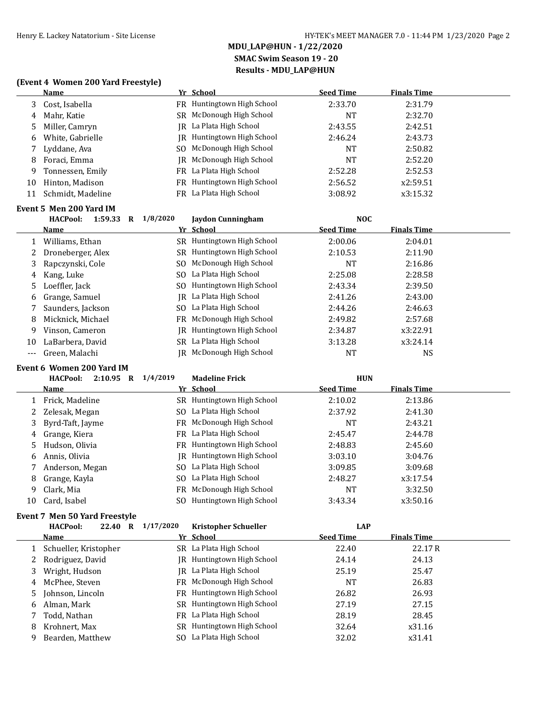### **(Event 4 Women 200 Yard Freestyle)**

|    | <b>Name</b>       | Yr School                         | <b>Seed Time</b> | <b>Finals Time</b> |
|----|-------------------|-----------------------------------|------------------|--------------------|
| 3  | Cost, Isabella    | FR Huntingtown High School        | 2:33.70          | 2:31.79            |
| 4  | Mahr, Katie       | SR McDonough High School          | NT               | 2:32.70            |
| 5. | Miller, Camryn    | JR La Plata High School           | 2:43.55          | 2:42.51            |
| 6  | White, Gabrielle  | <b>IR</b> Huntingtown High School | 2:46.24          | 2:43.73            |
|    | Lyddane, Ava      | SO McDonough High School          | <b>NT</b>        | 2:50.82            |
| 8  | Foraci, Emma      | IR McDonough High School          | NT               | 2:52.20            |
| 9  | Tonnessen, Emily  | FR La Plata High School           | 2:52.28          | 2:52.53            |
| 10 | Hinton, Madison   | FR Huntingtown High School        | 2:56.52          | x2:59.51           |
| 11 | Schmidt, Madeline | FR La Plata High School           | 3:08.92          | x3:15.32           |
|    |                   |                                   |                  |                    |

#### **Event 5 Men 200 Yard IM**

|    | <b>HACPool:</b><br>1:59.33<br>$\mathbf R$ | 1/8/2020<br>Jaydon Cunningham  | NOC              |                    |  |
|----|-------------------------------------------|--------------------------------|------------------|--------------------|--|
|    | Name                                      | Yr School                      | <b>Seed Time</b> | <b>Finals Time</b> |  |
|    | Williams, Ethan                           | SR Huntingtown High School     | 2:00.06          | 2:04.01            |  |
|    | Droneberger, Alex                         | SR Huntingtown High School     | 2:10.53          | 2:11.90            |  |
| 3  | Rapczynski, Cole                          | McDonough High School<br>SO.   | NT               | 2:16.86            |  |
| 4  | Kang, Luke                                | SO La Plata High School        | 2:25.08          | 2:28.58            |  |
|    | 5 Loeffler, Jack                          | Huntingtown High School<br>SO. | 2:43.34          | 2:39.50            |  |
| 6  | Grange, Samuel                            | IR La Plata High School        | 2:41.26          | 2:43.00            |  |
|    | Saunders, Jackson                         | SO La Plata High School        | 2:44.26          | 2:46.63            |  |
| 8  | Micknick, Michael                         | FR McDonough High School       | 2:49.82          | 2:57.68            |  |
| 9  | Vinson, Cameron                           | Huntingtown High School<br>IR  | 2:34.87          | x3:22.91           |  |
| 10 | LaBarbera, David                          | SR La Plata High School        | 3:13.28          | x3:24.14           |  |
|    | Green, Malachi                            | McDonough High School<br>IR.   | NT               | NS                 |  |

### **Event 6 Women 200 Yard IM**

|    | <b>HACPool:</b><br>$2:10.95$ R | 1/4/2019 | <b>Madeline Frick</b>      | <b>HUN</b>       |                    |  |
|----|--------------------------------|----------|----------------------------|------------------|--------------------|--|
|    | <b>Name</b>                    |          | Yr School                  | <b>Seed Time</b> | <b>Finals Time</b> |  |
|    | Frick, Madeline                |          | SR Huntingtown High School | 2:10.02          | 2:13.86            |  |
| 2  | Zelesak, Megan                 |          | SO La Plata High School    | 2:37.92          | 2:41.30            |  |
|    | 3 Byrd-Taft, Jayme             |          | FR McDonough High School   | <b>NT</b>        | 2:43.21            |  |
| 4  | Grange, Kiera                  |          | FR La Plata High School    | 2:45.47          | 2:44.78            |  |
| 5. | Hudson, Olivia                 |          | FR Huntingtown High School | 2:48.83          | 2:45.60            |  |
| 6  | Annis, Olivia                  | IRI      | Huntingtown High School    | 3:03.10          | 3:04.76            |  |
|    | Anderson, Megan                |          | SO La Plata High School    | 3:09.85          | 3:09.68            |  |
| 8  | Grange, Kayla                  |          | SO La Plata High School    | 2:48.27          | x3:17.54           |  |
| 9  | Clark, Mia                     |          | FR McDonough High School   | NT               | 3:32.50            |  |
| 10 | Card, Isabel                   | SO.      | Huntingtown High School    | 3:43.34          | x3:50.16           |  |

#### **Event 7 Men 50 Yard Freestyle**

|   | <b>HACPool:</b><br>22.40<br>R | 1/17/2020 | <b>Kristopher Schueller</b> | LAP              |                    |
|---|-------------------------------|-----------|-----------------------------|------------------|--------------------|
|   | <b>Name</b>                   |           | Yr School                   | <b>Seed Time</b> | <b>Finals Time</b> |
|   | 1 Schueller, Kristopher       |           | SR La Plata High School     | 22.40            | 22.17R             |
|   | 2 Rodriguez, David            | IR.       | Huntingtown High School     | 24.14            | 24.13              |
|   | 3 Wright, Hudson              |           | IR La Plata High School     | 25.19            | 25.47              |
|   | 4 McPhee, Steven              |           | FR McDonough High School    | <b>NT</b>        | 26.83              |
|   | 5 Johnson, Lincoln            |           | FR Huntingtown High School  | 26.82            | 26.93              |
|   | 6 Alman, Mark                 |           | SR Huntingtown High School  | 27.19            | 27.15              |
|   | Todd, Nathan                  |           | FR La Plata High School     | 28.19            | 28.45              |
| 8 | Krohnert, Max                 | SR.       | Huntingtown High School     | 32.64            | x31.16             |
| 9 | Bearden, Matthew              |           | SO La Plata High School     | 32.02            | x31.41             |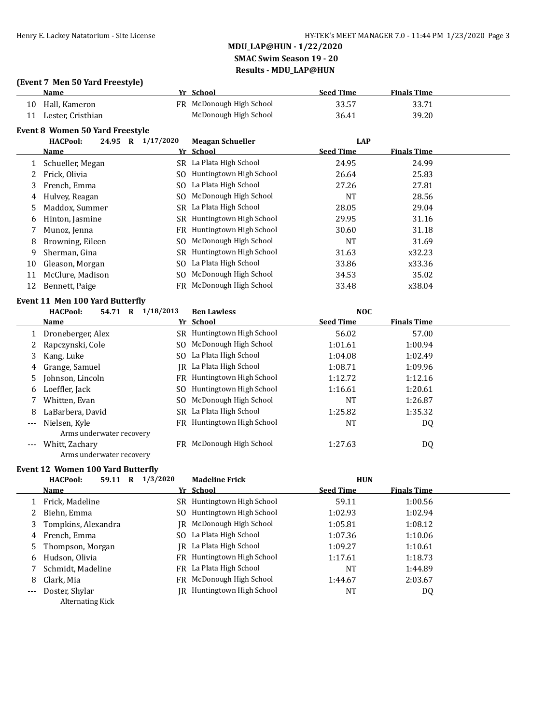### **(Event 7 Men 50 Yard Freestyle)**

|    | <b>Name</b>                            |                | Yr School                  | <b>Seed Time</b> | <b>Finals Time</b> |  |
|----|----------------------------------------|----------------|----------------------------|------------------|--------------------|--|
| 10 | Hall, Kameron                          |                | FR McDonough High School   | 33.57            | 33.71              |  |
| 11 | Lester, Cristhian                      |                | McDonough High School      | 36.41            | 39.20              |  |
|    | <b>Event 8 Women 50 Yard Freestyle</b> |                |                            |                  |                    |  |
|    | <b>HACPool:</b><br>24.95 R             | 1/17/2020      | <b>Meagan Schueller</b>    | <b>LAP</b>       |                    |  |
|    | Name                                   |                | Yr School                  | <b>Seed Time</b> | <b>Finals Time</b> |  |
| 1  | Schueller, Megan                       |                | SR La Plata High School    | 24.95            | 24.99              |  |
| 2  | Frick, Olivia                          |                | SO Huntingtown High School | 26.64            | 25.83              |  |
| 3  | French, Emma                           | SO.            | La Plata High School       | 27.26            | 27.81              |  |
| 4  | Hulvey, Reagan                         | SO.            | McDonough High School      | <b>NT</b>        | 28.56              |  |
| 5  | Maddox, Summer                         | SR.            | La Plata High School       | 28.05            | 29.04              |  |
| 6  | Hinton, Jasmine                        |                | SR Huntingtown High School | 29.95            | 31.16              |  |
|    | Munoz, Jenna                           |                | FR Huntingtown High School | 30.60            | 31.18              |  |
| 8  | Browning, Eileen                       | SO.            | McDonough High School      | <b>NT</b>        | 31.69              |  |
| 9  | Sherman, Gina                          |                | SR Huntingtown High School | 31.63            | x32.23             |  |
| 10 | Gleason, Morgan                        | SO.            | La Plata High School       | 33.86            | x33.36             |  |
| 11 | McClure, Madison                       | S <sub>O</sub> | McDonough High School      | 34.53            | 35.02              |  |
| 12 | Bennett, Paige                         | FR -           | McDonough High School      | 33.48            | x38.04             |  |
|    | Event 11 Men 100 Yard Butterfly        |                |                            |                  |                    |  |
|    | <b>HACPool:</b><br>54.71 R             | 1/18/2013      | <b>Ben Lawless</b>         | <b>NOC</b>       |                    |  |
|    | <b>Name</b>                            | Yr             | <b>School</b>              | <b>Seed Time</b> | <b>Finals Time</b> |  |
| 1  | Droneberger, Alex                      |                | SR Huntingtown High School | 56.02            | 57.00              |  |
| 2  | Rapczynski, Cole                       | SO.            | McDonough High School      | 1:01.61          | 1:00.94            |  |
| 3  | Kang, Luke                             | SO.            | La Plata High School       | 1:04.08          | 1:02.49            |  |
| 4  | Grange, Samuel                         | IR             | La Plata High School       | 1:08.71          | 1:09.96            |  |
| 5  | Johnson, Lincoln                       | FR.            | Huntingtown High School    | 1:12.72          | 1:12.16            |  |
| 6  | Loeffler, Jack                         | SO.            | Huntingtown High School    | 1:16.61          | 1:20.61            |  |
| 7  | Whitten, Evan                          |                | SO McDonough High School   | <b>NT</b>        | 1:26.87            |  |

|     | Whitten, Evan            | <b>SO</b> MCDONOUGH HIGH SCHOOL | IN L    | 1:40.07 |
|-----|--------------------------|---------------------------------|---------|---------|
|     | 8 LaBarbera, David       | SR La Plata High School         | 1:25.82 | 1:35.32 |
| --- | Nielsen, Kyle            | FR Huntingtown High School      | NT      | DQ      |
|     | Arms underwater recovery |                                 |         |         |
| --- | Whitt, Zachary           | FR McDonough High School        | 1:27.63 | DQ      |
|     | Arms underwater recovery |                                 |         |         |

#### **Event 12 Women 100 Yard Butterfly**

|                     | <b>HACPool:</b>     | 59.11 | R | 1/3/2020 | <b>Madeline Frick</b>      | <b>HUN</b>       |                    |  |
|---------------------|---------------------|-------|---|----------|----------------------------|------------------|--------------------|--|
|                     | <b>Name</b>         |       |   |          | Yr School                  | <b>Seed Time</b> | <b>Finals Time</b> |  |
|                     | Frick, Madeline     |       |   |          | SR Huntingtown High School | 59.11            | 1:00.56            |  |
|                     | Biehn, Emma         |       |   |          | SO Huntingtown High School | 1:02.93          | 1:02.94            |  |
| 3                   | Tompkins, Alexandra |       |   |          | JR McDonough High School   | 1:05.81          | 1:08.12            |  |
| 4                   | French, Emma        |       |   |          | SO La Plata High School    | 1:07.36          | 1:10.06            |  |
| 5                   | Thompson, Morgan    |       |   |          | JR La Plata High School    | 1:09.27          | 1:10.61            |  |
| 6                   | Hudson, Olivia      |       |   |          | FR Huntingtown High School | 1:17.61          | 1:18.73            |  |
|                     | Schmidt, Madeline   |       |   |          | FR La Plata High School    | <b>NT</b>        | 1:44.89            |  |
| 8                   | Clark, Mia          |       |   |          | FR McDonough High School   | 1:44.67          | 2:03.67            |  |
| $\qquad \qquad - -$ | Doster, Shylar      |       |   | IR       | Huntingtown High School    | NT               | DQ                 |  |
|                     | Alternating Kick    |       |   |          |                            |                  |                    |  |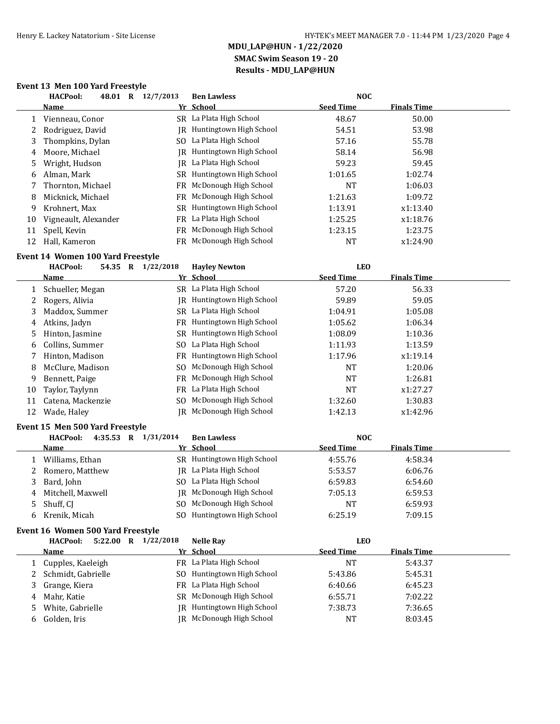### **Event 13 Men 100 Yard Freestyle**

|    | <b>HACPool:</b><br>48.01<br>$\bf R$ | 12/7/2013 | <b>Ben Lawless</b>      | <b>NOC</b>       |                    |  |
|----|-------------------------------------|-----------|-------------------------|------------------|--------------------|--|
|    | <b>Name</b>                         |           | Yr School               | <b>Seed Time</b> | <b>Finals Time</b> |  |
|    | Vienneau, Conor                     |           | SR La Plata High School | 48.67            | 50.00              |  |
| 2  | Rodriguez, David                    | IR        | Huntingtown High School | 54.51            | 53.98              |  |
| 3  | Thompkins, Dylan                    |           | SO La Plata High School | 57.16            | 55.78              |  |
| 4  | Moore, Michael                      | IR        | Huntingtown High School | 58.14            | 56.98              |  |
| 5  | Wright, Hudson                      |           | IR La Plata High School | 59.23            | 59.45              |  |
| 6  | Alman, Mark                         | SR        | Huntingtown High School | 1:01.65          | 1:02.74            |  |
|    | Thornton, Michael                   | FR.       | McDonough High School   | NT               | 1:06.03            |  |
| 8  | Micknick, Michael                   | FR        | McDonough High School   | 1:21.63          | 1:09.72            |  |
| 9  | Krohnert, Max                       | SR.       | Huntingtown High School | 1:13.91          | x1:13.40           |  |
| 10 | Vigneault, Alexander                | FR        | La Plata High School    | 1:25.25          | x1:18.76           |  |
| 11 | Spell, Kevin                        | FR        | McDonough High School   | 1:23.15          | 1:23.75            |  |
| 12 | Hall, Kameron                       | FR        | McDonough High School   | NT               | x1:24.90           |  |

#### **Event 14 Women 100 Yard Freestyle**

|    | IVCHL 17 - WOMCH 100-IGIU I I CCIIVIC |           |                            |                  |                    |  |
|----|---------------------------------------|-----------|----------------------------|------------------|--------------------|--|
|    | <b>HACPool:</b><br>54.35 R            | 1/22/2018 | <b>Havley Newton</b>       | <b>LEO</b>       |                    |  |
|    | Name                                  |           | Yr School                  | <b>Seed Time</b> | <b>Finals Time</b> |  |
|    | Schueller, Megan                      |           | SR La Plata High School    | 57.20            | 56.33              |  |
|    | Rogers, Alivia                        | IR        | Huntingtown High School    | 59.89            | 59.05              |  |
| 3. | Maddox, Summer                        |           | SR La Plata High School    | 1:04.91          | 1:05.08            |  |
| 4  | Atkins, Jadyn                         | FR        | Huntingtown High School    | 1:05.62          | 1:06.34            |  |
| 5. | Hinton, Jasmine                       |           | SR Huntingtown High School | 1:08.09          | 1:10.36            |  |
| 6  | Collins, Summer                       | SO.       | La Plata High School       | 1:11.93          | 1:13.59            |  |
|    | Hinton, Madison                       |           | FR Huntingtown High School | 1:17.96          | x1:19.14           |  |
| 8  | McClure, Madison                      | SO.       | McDonough High School      | <b>NT</b>        | 1:20.06            |  |
| 9  | Bennett, Paige                        |           | FR McDonough High School   | <b>NT</b>        | 1:26.81            |  |
| 10 | Taylor, Taylynn                       | FR        | La Plata High School       | NT               | x1:27.27           |  |
| 11 | Catena, Mackenzie                     | SO.       | McDonough High School      | 1:32.60          | 1:30.83            |  |
| 12 | Wade, Haley                           | IR        | McDonough High School      | 1:42.13          | x1:42.96           |  |

#### **Event 15 Men 500 Yard Freestyle**

|   | 4:35.53 R<br><b>HACPool:</b> | 1/31/2014<br><b>Ben Lawless</b> | <b>NOC</b>                             |  |
|---|------------------------------|---------------------------------|----------------------------------------|--|
|   | <b>Name</b>                  | Yr School                       | <b>Seed Time</b><br><b>Finals Time</b> |  |
|   | Williams, Ethan              | Huntingtown High School<br>SR.  | 4:55.76<br>4:58.34                     |  |
|   | Romero, Matthew              | IR La Plata High School         | 5:53.57<br>6:06.76                     |  |
| 3 | Bard, John                   | SO La Plata High School         | 6:59.83<br>6:54.60                     |  |
|   | 4 Mitchell, Maxwell          | JR McDonough High School        | 7:05.13<br>6:59.53                     |  |
|   | 5 Shuff, CI                  | SO McDonough High School        | 6:59.93<br>NT                          |  |
|   | 6 Krenik, Micah              | Huntingtown High School<br>SO.  | 6:25.19<br>7:09.15                     |  |

#### **Event 16 Women 500 Yard Freestyle**

|    | 5:22.00 R<br><b>HACPool:</b> | 1/22/2018 | <b>Nelle Ray</b>           | <b>LEO</b>       |                    |
|----|------------------------------|-----------|----------------------------|------------------|--------------------|
|    | Name                         |           | Yr School                  | <b>Seed Time</b> | <b>Finals Time</b> |
|    | 1 Cupples, Kaeleigh          |           | FR La Plata High School    | NT               | 5:43.37            |
|    | 2 Schmidt, Gabrielle         |           | SO Huntingtown High School | 5:43.86          | 5:45.31            |
|    | Grange, Kiera                |           | FR La Plata High School    | 6:40.66          | 6:45.23            |
| 4  | Mahr. Katie                  |           | SR McDonough High School   | 6:55.71          | 7:02.22            |
|    | White, Gabrielle             |           | IR Huntingtown High School | 7:38.73          | 7:36.65            |
| b. | Golden, Iris                 |           | JR McDonough High School   | NT               | 8:03.45            |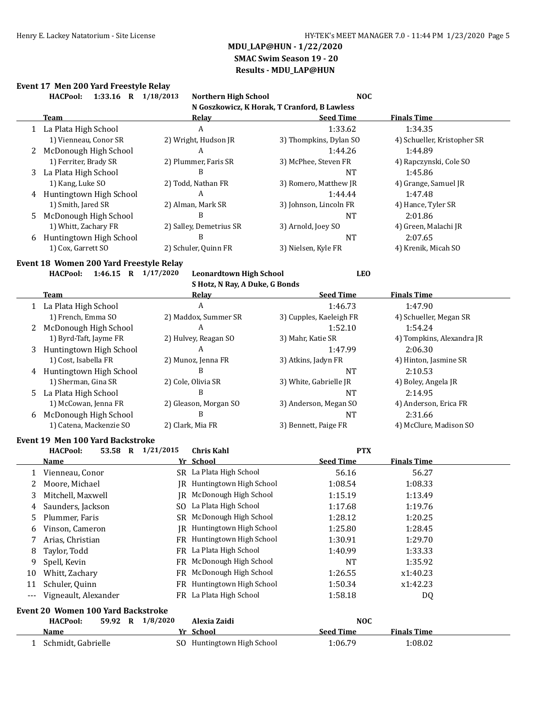## **Event 17 Men 200 Yard Freestyle Relay**

|                      | 1:33.16 R 1/18/2013<br><b>HACPool:</b>                                          | <b>Northern High School</b>                  | <b>NOC</b>              |                             |
|----------------------|---------------------------------------------------------------------------------|----------------------------------------------|-------------------------|-----------------------------|
|                      |                                                                                 | N Goszkowicz, K Horak, T Cranford, B Lawless |                         |                             |
|                      | <b>Team</b>                                                                     | <b>Relay</b>                                 | <b>Seed Time</b>        | <b>Finals Time</b>          |
|                      | 1 La Plata High School                                                          | A                                            | 1:33.62                 | 1:34.35                     |
|                      | 1) Vienneau, Conor SR                                                           | 2) Wright, Hudson JR                         | 3) Thompkins, Dylan SO  | 4) Schueller, Kristopher SR |
| 2                    | McDonough High School                                                           | A                                            | 1:44.26                 | 1:44.89                     |
|                      | 1) Ferriter, Brady SR                                                           | 2) Plummer, Faris SR                         | 3) McPhee, Steven FR    | 4) Rapczynski, Cole SO      |
|                      | 3 La Plata High School                                                          | B                                            | <b>NT</b>               | 1:45.86                     |
|                      | 1) Kang, Luke SO                                                                | 2) Todd, Nathan FR                           | 3) Romero, Matthew JR   | 4) Grange, Samuel JR        |
|                      | 4 Huntingtown High School                                                       | A                                            | 1:44.44                 | 1:47.48                     |
|                      | 1) Smith, Jared SR                                                              | 2) Alman, Mark SR                            | 3) Johnson, Lincoln FR  | 4) Hance, Tyler SR          |
| 5.                   | McDonough High School                                                           | B                                            | <b>NT</b>               | 2:01.86                     |
|                      | 1) Whitt, Zachary FR                                                            | 2) Salley, Demetrius SR                      | 3) Arnold, Joey SO      | 4) Green, Malachi JR        |
| 6                    | Huntingtown High School                                                         | B                                            | <b>NT</b>               | 2:07.65                     |
|                      | 1) Cox, Garrett SO                                                              | 2) Schuler, Quinn FR                         | 3) Nielsen, Kyle FR     | 4) Krenik, Micah SO         |
|                      | Event 18 Women 200 Yard Freestyle Relay                                         |                                              |                         |                             |
|                      | <b>HACPool:</b><br>1:46.15 R 1/17/2020                                          | <b>Leonardtown High School</b>               | <b>LEO</b>              |                             |
|                      |                                                                                 | S Hotz, N Ray, A Duke, G Bonds               |                         |                             |
|                      | Team                                                                            | <b>Relay</b>                                 | <b>Seed Time</b>        | <b>Finals Time</b>          |
|                      | 1 La Plata High School                                                          | $\overline{A}$                               | 1:46.73                 | 1:47.90                     |
|                      | 1) French, Emma SO                                                              | 2) Maddox, Summer SR                         | 3) Cupples, Kaeleigh FR | 4) Schueller, Megan SR      |
| 2                    | McDonough High School                                                           | $\mathbf{A}$                                 | 1:52.10                 | 1:54.24                     |
|                      | 1) Byrd-Taft, Jayme FR                                                          | 2) Hulvey, Reagan SO                         | 3) Mahr, Katie SR       | 4) Tompkins, Alexandra JR   |
| 3                    | Huntingtown High School                                                         | A                                            | 1:47.99                 | 2:06.30                     |
|                      | 1) Cost, Isabella FR                                                            | 2) Munoz, Jenna FR                           | 3) Atkins, Jadyn FR     | 4) Hinton, Jasmine SR       |
| 4                    | Huntingtown High School                                                         | B                                            | <b>NT</b>               | 2:10.53                     |
|                      | 1) Sherman, Gina SR                                                             | 2) Cole, Olivia SR                           | 3) White, Gabrielle JR  | 4) Boley, Angela JR         |
| 5.                   | La Plata High School                                                            | B                                            | <b>NT</b>               | 2:14.95                     |
|                      | 1) McCowan, Jenna FR                                                            | 2) Gleason, Morgan SO                        | 3) Anderson, Megan SO   | 4) Anderson, Erica FR       |
| 6                    | McDonough High School                                                           | B                                            | <b>NT</b>               | 2:31.66                     |
|                      | 1) Catena, Mackenzie SO                                                         | 2) Clark, Mia FR                             | 3) Bennett, Paige FR    | 4) McClure, Madison SO      |
|                      |                                                                                 |                                              |                         |                             |
|                      | <b>Event 19 Men 100 Yard Backstroke</b><br>53.58 R 1/21/2015<br><b>HACPool:</b> | <b>Chris Kahl</b>                            | <b>PTX</b>              |                             |
|                      | Name                                                                            | Yr School                                    | <b>Seed Time</b>        | <b>Finals Time</b>          |
|                      |                                                                                 | SR La Plata High School                      |                         |                             |
| 1                    | Vienneau, Conor                                                                 | IR Huntingtown High School                   | 56.16                   | 56.27                       |
| 2                    | Moore, Michael                                                                  |                                              | 1:08.54                 | 1:08.33                     |
| 3                    | Mitchell, Maxwell                                                               | JR McDonough High School                     | 1:15.19                 | 1:13.49                     |
| 4                    | Saunders, Jackson                                                               | SO La Plata High School                      | 1:17.68                 | 1:19.76                     |
| 5                    | Plummer, Faris                                                                  | SR McDonough High School                     | 1:28.12                 | 1:20.25                     |
| 6                    | Vinson, Cameron                                                                 | JR Huntingtown High School                   | 1:25.80                 | 1:28.45                     |
| 7                    | Arias, Christian                                                                | FR Huntingtown High School                   | 1:30.91                 | 1:29.70                     |
| 8                    | Taylor, Todd                                                                    | FR La Plata High School                      | 1:40.99                 | 1:33.33                     |
| 9                    | Spell, Kevin                                                                    | FR McDonough High School                     | NT                      | 1:35.92                     |
| 10                   | Whitt, Zachary                                                                  | FR McDonough High School                     | 1:26.55                 | x1:40.23                    |
| 11                   | Schuler, Quinn                                                                  | FR Huntingtown High School                   | 1:50.34                 | x1:42.23                    |
| $\scriptstyle\cdots$ | Vigneault, Alexander                                                            | FR La Plata High School                      | 1:58.18                 | DQ                          |
|                      | Event 20 Women 100 Yard Backstroke                                              |                                              |                         |                             |
|                      | 59.92 R 1/8/2020<br><b>HACPool:</b>                                             | Alexia Zaidi                                 | <b>NOC</b>              |                             |
|                      | <u>Name</u>                                                                     | Yr School                                    | <b>Seed Time</b>        | <b>Finals Time</b>          |
| 1                    | Schmidt, Gabrielle                                                              | SO Huntingtown High School                   | 1:06.79                 | 1:08.02                     |
|                      |                                                                                 |                                              |                         |                             |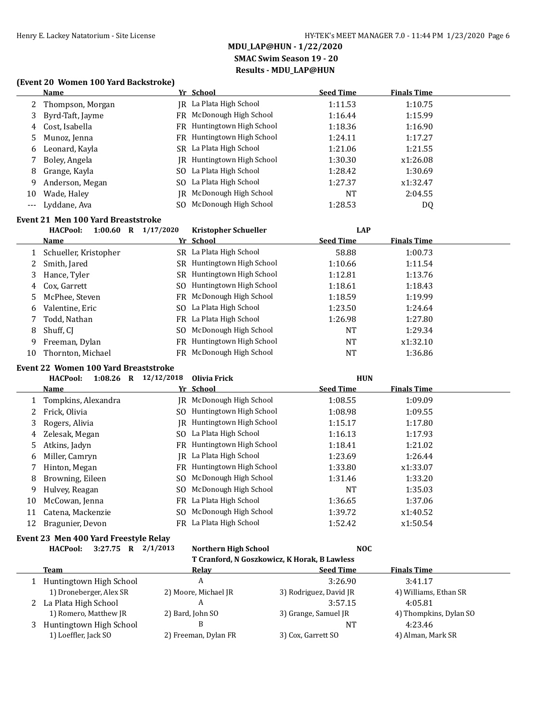#### **(Event 20 Women 100 Yard Backstroke)**

|     | <b>Name</b>                                 |                        | Yr School                   | <b>Seed Time</b> | <b>Finals Time</b> |  |
|-----|---------------------------------------------|------------------------|-----------------------------|------------------|--------------------|--|
| 2   | Thompson, Morgan                            |                        | JR La Plata High School     | 1:11.53          | 1:10.75            |  |
| 3   | Byrd-Taft, Jayme                            |                        | FR McDonough High School    | 1:16.44          | 1:15.99            |  |
| 4   | Cost, Isabella                              |                        | FR Huntingtown High School  | 1:18.36          | 1:16.90            |  |
| 5   | Munoz, Jenna                                |                        | FR Huntingtown High School  | 1:24.11          | 1:17.27            |  |
| 6   | Leonard, Kayla                              |                        | SR La Plata High School     | 1:21.06          | 1:21.55            |  |
| 7   | Boley, Angela                               | IR.                    | Huntingtown High School     | 1:30.30          | x1:26.08           |  |
| 8   | Grange, Kayla                               |                        | SO La Plata High School     | 1:28.42          | 1:30.69            |  |
| 9   | Anderson, Megan                             | SO.                    | La Plata High School        | 1:27.37          | x1:32.47           |  |
| 10  | Wade, Haley                                 | <b>IR</b>              | McDonough High School       | <b>NT</b>        | 2:04.55            |  |
| --- | Lyddane, Ava                                | SO.                    | McDonough High School       | 1:28.53          | DQ                 |  |
|     | <b>Event 21 Men 100 Yard Breaststroke</b>   |                        |                             |                  |                    |  |
|     | 1:00.60 R $1/17/2020$<br><b>HACPool:</b>    |                        | <b>Kristopher Schueller</b> | <b>LAP</b>       |                    |  |
|     | Name                                        |                        | Yr School                   | <b>Seed Time</b> | <b>Finals Time</b> |  |
| 1   | Schueller, Kristopher                       |                        | SR La Plata High School     | 58.88            | 1:00.73            |  |
| 2   | Smith, Jared                                |                        | SR Huntingtown High School  | 1:10.66          | 1:11.54            |  |
| 3   | Hance, Tyler                                |                        | SR Huntingtown High School  | 1:12.81          | 1:13.76            |  |
| 4   | Cox, Garrett                                | S <sub>O</sub>         | Huntingtown High School     | 1:18.61          | 1:18.43            |  |
| 5   | McPhee, Steven                              | FR                     | McDonough High School       | 1:18.59          | 1:19.99            |  |
| 6   | Valentine, Eric                             | SO.                    | La Plata High School        | 1:23.50          | 1:24.64            |  |
| 7   | Todd, Nathan                                |                        | FR La Plata High School     | 1:26.98          | 1:27.80            |  |
| 8   | Shuff, CJ                                   | SO.                    | McDonough High School       | <b>NT</b>        | 1:29.34            |  |
| 9   | Freeman, Dylan                              |                        | FR Huntingtown High School  | <b>NT</b>        | x1:32.10           |  |
| 10  | Thornton, Michael                           | <b>FR</b>              | McDonough High School       | <b>NT</b>        | 1:36.86            |  |
|     | <b>Event 22 Women 100 Yard Breaststroke</b> |                        |                             |                  |                    |  |
|     | <b>HACPool:</b>                             | 1:08.26 R $12/12/2018$ | <b>Olivia Frick</b>         | <b>HUN</b>       |                    |  |
|     | <b>Name</b>                                 |                        | Yr School                   | <b>Seed Time</b> | <b>Finals Time</b> |  |
| 1   | Tompkins, Alexandra                         |                        | JR McDonough High School    | 1:08.55          | 1:09.09            |  |
| 2   | Frick, Olivia                               |                        | SO Huntingtown High School  | 1:08.98          | 1:09.55            |  |
| 3   | Rogers, Alivia                              |                        | JR Huntingtown High School  | 1:15.17          | 1:17.80            |  |
| 4   | Zelesak, Megan                              | SO.                    | La Plata High School        | 1:16.13          | 1:17.93            |  |
| 5   | Atkins, Jadyn                               |                        | FR Huntingtown High School  | 1:18.41          | 1:21.02            |  |

| 12 | Bragunier, Devon                      | FR La Plata High School                      | 1:52.42                | x1:50.54               |  |  |  |  |
|----|---------------------------------------|----------------------------------------------|------------------------|------------------------|--|--|--|--|
|    | Event 23 Men 400 Yard Freestyle Relay |                                              |                        |                        |  |  |  |  |
|    | <b>HACPool:</b><br>3:27.75<br>R       | 2/1/2013<br>Northern High School             | NOC.                   |                        |  |  |  |  |
|    |                                       | T Cranford, N Goszkowicz, K Horak, B Lawless |                        |                        |  |  |  |  |
|    | <b>Team</b>                           | Relay                                        | <b>Seed Time</b>       | <b>Finals Time</b>     |  |  |  |  |
|    | Huntingtown High School               | A                                            | 3:26.90                | 3:41.17                |  |  |  |  |
|    | 1) Droneberger, Alex SR               | 2) Moore, Michael JR                         | 3) Rodriguez, David JR | 4) Williams, Ethan SR  |  |  |  |  |
|    | La Plata High School                  | A                                            | 3:57.15                | 4:05.81                |  |  |  |  |
|    | 1) Romero, Matthew JR                 | 2) Bard, John SO                             | 3) Grange, Samuel JR   | 4) Thompkins, Dylan SO |  |  |  |  |
| 3  | Huntingtown High School               | B                                            | NT                     | 4:23.46                |  |  |  |  |
|    | 1) Loeffler, Jack SO                  | 2) Freeman, Dylan FR                         | 3) Cox, Garrett SO     | 4) Alman, Mark SR      |  |  |  |  |

6 Miller, Camryn JR La Plata High School 1:23.69 1:26.44 7 Hinton, Megan **FR** Huntingtown High School 1:33.80 x1:33.07 8 Browning, Eileen SO McDonough High School 1:31.46 1:33.20 9 Hulvey, Reagan SO McDonough High School NT 1:35.03 10 McCowan, Jenna **FR** La Plata High School 1:36.65 1:37.06 11 Catena, Mackenzie SO McDonough High School 1:39.72 x1:40.52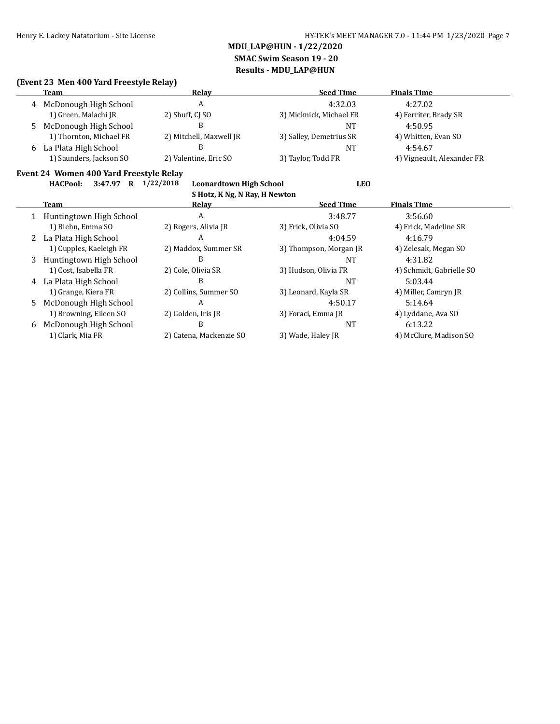## **MDU\_LAP@HUN - 1/22/2020 SMAC Swim Season 19 - 20**

**Results - MDU\_LAP@HUN**

### **(Event 23 Men 400 Yard Freestyle Relay)**

| Team                    | Relav                   | <b>Seed Time</b>        | <b>Finals Time</b>         |
|-------------------------|-------------------------|-------------------------|----------------------------|
| 4 McDonough High School |                         | 4:32.03                 | 4:27.02                    |
| 1) Green, Malachi JR    | 2) Shuff, CJ SO         | 3) Micknick, Michael FR | 4) Ferriter, Brady SR      |
| 5 McDonough High School |                         | NT                      | 4:50.95                    |
| 1) Thornton, Michael FR | 2) Mitchell, Maxwell JR | 3) Salley, Demetrius SR | 4) Whitten, Evan SO        |
| 6 La Plata High School  |                         | NT                      | 4:54.67                    |
| 1) Saunders, Jackson SO | 2) Valentine, Eric SO   | 3) Taylor, Todd FR      | 4) Vigneault, Alexander FR |

### **Event 24 Women 400 Yard Freestyle Relay**

| <b>HACPool:</b> | 3:47.97 |  | 1/22/2018 |
|-----------------|---------|--|-----------|
|-----------------|---------|--|-----------|

**Hackbook: LEO**<br> **Silota K.N.8.91 Box: H.Novitor** 

| S Hotz, K Ng, N Ray, H Newton |                         |                         |                        |                          |  |
|-------------------------------|-------------------------|-------------------------|------------------------|--------------------------|--|
|                               | Team                    | Relay                   | <b>Seed Time</b>       | <b>Finals Time</b>       |  |
|                               | Huntingtown High School | A                       | 3:48.77                | 3:56.60                  |  |
|                               | 1) Biehn, Emma SO       | 2) Rogers, Alivia JR    | 3) Frick, Olivia SO    | 4) Frick, Madeline SR    |  |
|                               | 2 La Plata High School  | А                       | 4:04.59                | 4:16.79                  |  |
|                               | 1) Cupples, Kaeleigh FR | 2) Maddox, Summer SR    | 3) Thompson, Morgan JR | 4) Zelesak, Megan SO     |  |
| 3                             | Huntingtown High School | B                       | NT                     | 4:31.82                  |  |
|                               | 1) Cost, Isabella FR    | 2) Cole, Olivia SR      | 3) Hudson, Olivia FR   | 4) Schmidt, Gabrielle SO |  |
|                               | 4 La Plata High School  | B                       | NT                     | 5:03.44                  |  |
|                               | 1) Grange, Kiera FR     | 2) Collins, Summer SO   | 3) Leonard, Kayla SR   | 4) Miller, Camryn JR     |  |
| 5.                            | McDonough High School   | A                       | 4:50.17                | 5:14.64                  |  |
|                               | 1) Browning, Eileen SO  | 2) Golden, Iris JR      | 3) Foraci, Emma JR     | 4) Lyddane, Ava SO       |  |
| 6                             | McDonough High School   | B                       | <b>NT</b>              | 6:13.22                  |  |
|                               | 1) Clark, Mia FR        | 2) Catena, Mackenzie SO | 3) Wade, Haley JR      | 4) McClure, Madison SO   |  |